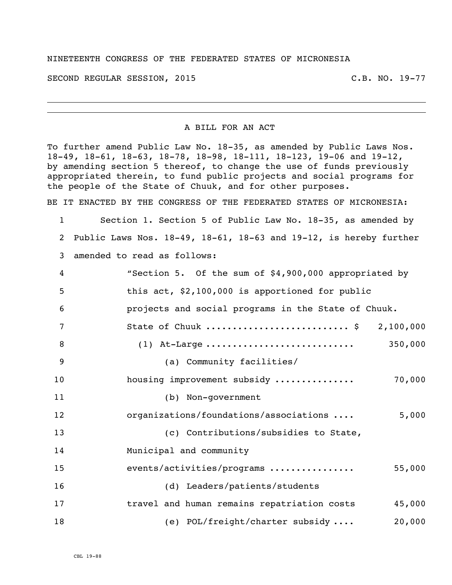## NINETEENTH CONGRESS OF THE FEDERATED STATES OF MICRONESIA

SECOND REGULAR SESSION, 2015 C.B. NO. 19-77

## A BILL FOR AN ACT

To further amend Public Law No. 18-35, as amended by Public Laws Nos. 18-49, 18-61, 18-63, 18-78, 18-98, 18-111, 18-123, 19-06 and 19-12, by amending section 5 thereof, to change the use of funds previously appropriated therein, to fund public projects and social programs for the people of the State of Chuuk, and for other purposes.

BE IT ENACTED BY THE CONGRESS OF THE FEDERATED STATES OF MICRONESIA:

 Section 1. Section 5 of Public Law No. 18-35, as amended by Public Laws Nos. 18-49, 18-61, 18-63 and 19-12, is hereby further amended to read as follows:

| 4              | "Section 5. Of the sum of \$4,900,000 appropriated by |
|----------------|-------------------------------------------------------|
| 5              | this act, \$2,100,000 is apportioned for public       |
| 6              | projects and social programs in the State of Chuuk.   |
| $\overline{7}$ | State of Chuuk  \$ 2,100,000                          |
| 8              | 350,000<br>$(1)$ At-Large                             |
| 9              | (a) Community facilities/                             |
| 10             | 70,000<br>housing improvement subsidy                 |
| 11             | (b) Non-government                                    |
| 12             | organizations/foundations/associations<br>5,000       |
| 13             | (c) Contributions/subsidies to State,                 |
| 14             | Municipal and community                               |
| 15             | events/activities/programs<br>55,000                  |
| 16             | (d) Leaders/patients/students                         |
| 17             | travel and human remains repatriation costs<br>45,000 |
| 18             | (e) POL/freight/charter subsidy<br>20,000             |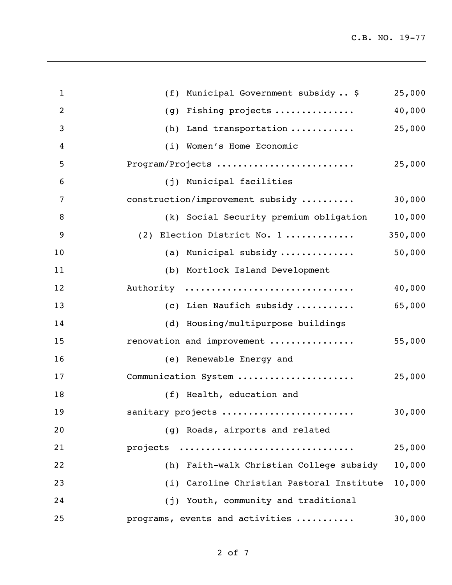| $\mathbf{1}$   | (f) Municipal Government subsidy  \$      | 25,000  |
|----------------|-------------------------------------------|---------|
| $\overline{2}$ | Fishing projects<br>(g)                   | 40,000  |
| 3              | Land transportation<br>(h)                | 25,000  |
| 4              | (i) Women's Home Economic                 |         |
| 5              | Program/Projects                          | 25,000  |
| 6              | (j) Municipal facilities                  |         |
| 7              | construction/improvement subsidy          | 30,000  |
| 8              | (k) Social Security premium obligation    | 10,000  |
| 9              | (2) Election District No. 1               | 350,000 |
| 10             | (a) Municipal subsidy                     | 50,000  |
| 11             | (b) Mortlock Island Development           |         |
| 12             | Authority                                 | 40,000  |
| 13             | (c) Lien Naufich subsidy                  | 65,000  |
| 14             | (d) Housing/multipurpose buildings        |         |
| 15             | renovation and improvement                | 55,000  |
| 16             | (e) Renewable Energy and                  |         |
| 17             | Communication System                      | 25,000  |
| 18             | (f) Health, education and                 |         |
| 19             | sanitary projects                         | 30,000  |
| 20             | (g) Roads, airports and related           |         |
| 21             | projects                                  | 25,000  |
| 22             | (h) Faith-walk Christian College subsidy  | 10,000  |
| 23             | (i) Caroline Christian Pastoral Institute | 10,000  |
| 24             | (j) Youth, community and traditional      |         |
| 25             | programs, events and activities           | 30,000  |
|                |                                           |         |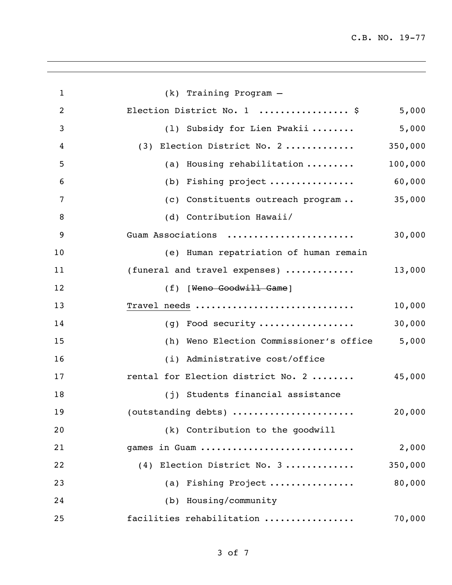| $\mathbf{1}$   | (k) Training Program -                  |         |
|----------------|-----------------------------------------|---------|
| $\overline{2}$ | Election District No. 1  \$             | 5,000   |
| 3              | (1) Subsidy for Lien Pwakii             | 5,000   |
| 4              | (3) Election District No. 2             | 350,000 |
| 5              | (a) Housing rehabilitation              | 100,000 |
| 6              | (b) Fishing project                     | 60,000  |
| $\overline{7}$ | (c) Constituents outreach program       | 35,000  |
| 8              | (d) Contribution Hawaii/                |         |
| 9              | Guam Associations                       | 30,000  |
| 10             | (e) Human repatriation of human remain  |         |
| 11             | (funeral and travel expenses)           | 13,000  |
| 12             | (f) [Weno Goodwill Game]                |         |
| 13             | Travel needs                            | 10,000  |
| 14             | (g) Food security                       | 30,000  |
| 15             | (h) Weno Election Commissioner's office | 5,000   |
| 16             | (i) Administrative cost/office          |         |
| 17             | rental for Election district No. 2      | 45,000  |
| 18             | (j) Students financial assistance       |         |
| 19             | (outstanding debts)                     | 20,000  |
| 20             | (k) Contribution to the goodwill        |         |
| 21             | games in Guam                           | 2,000   |
| 22             | Election District No. 3<br>(4)          | 350,000 |
| 23             | (a) Fishing Project                     | 80,000  |
| 24             | (b) Housing/community                   |         |
| 25             | facilities rehabilitation               | 70,000  |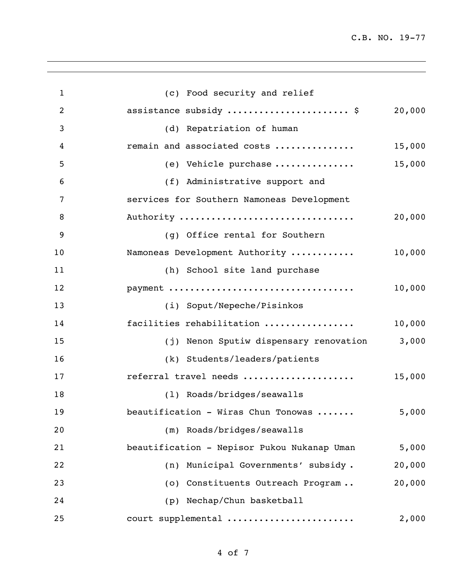C.B. NO. 19-77

| $\mathbf{1}$   | (c) Food security and relief                |        |
|----------------|---------------------------------------------|--------|
| $\overline{2}$ | assistance subsidy  \$                      | 20,000 |
| 3              | (d) Repatriation of human                   |        |
| 4              | remain and associated costs                 | 15,000 |
| 5              | (e) Vehicle purchase                        | 15,000 |
| 6              | (f) Administrative support and              |        |
| 7              | services for Southern Namoneas Development  |        |
| 8              | Authority                                   | 20,000 |
| 9              | (g) Office rental for Southern              |        |
| 10             | Namoneas Development Authority              | 10,000 |
| 11             | (h) School site land purchase               |        |
| 12             | payment                                     | 10,000 |
| 13             | (i) Soput/Nepeche/Pisinkos                  |        |
| 14             | facilities rehabilitation                   | 10,000 |
| 15             | (j) Nenon Sputiw dispensary renovation      | 3,000  |
| 16             | (k) Students/leaders/patients               |        |
| 17             | referral travel needs                       | 15,000 |
| 18             | (1) Roads/bridges/seawalls                  |        |
| 19             | beautification - Wiras Chun Tonowas         | 5,000  |
| 20             | (m) Roads/bridges/seawalls                  |        |
| 21             | beautification - Nepisor Pukou Nukanap Uman | 5,000  |
| 22             | (n) Municipal Governments' subsidy.         | 20,000 |
| 23             | (o) Constituents Outreach Program           | 20,000 |
| 24             | (p) Nechap/Chun basketball                  |        |
| 25             | court supplemental                          | 2,000  |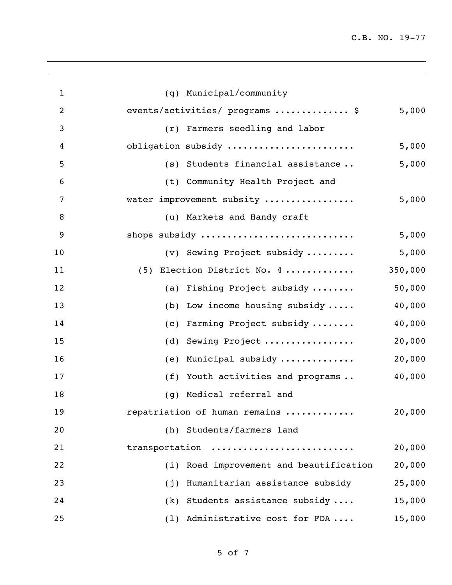| $\mathbf{1}$   | (q) Municipal/community                   |         |
|----------------|-------------------------------------------|---------|
| $\overline{2}$ | events/activities/ programs  \$           | 5,000   |
| 3              | (r) Farmers seedling and labor            |         |
| 4              | obligation subsidy                        | 5,000   |
| 5              | (s) Students financial assistance         | 5,000   |
| 6              | (t) Community Health Project and          |         |
| 7              | water improvement subsity                 | 5,000   |
| 8              | (u) Markets and Handy craft               |         |
| 9              | shops subsidy                             | 5,000   |
| 10             | (v) Sewing Project subsidy                | 5,000   |
| 11             | (5) Election District No. 4               | 350,000 |
| 12             | (a) Fishing Project subsidy               | 50,000  |
| 13             | (b) Low income housing subsidy $\ldots$ . | 40,000  |
| 14             | (c) Farming Project subsidy               | 40,000  |
| 15             | (d) Sewing Project                        | 20,000  |
| 16             | (e) Municipal subsidy                     | 20,000  |
| 17             | (f) Youth activities and programs         | 40,000  |
| 18             | (g) Medical referral and                  |         |
| 19             | repatriation of human remains             | 20,000  |
| 20             | (h) Students/farmers land                 |         |
| 21             | transportation                            | 20,000  |
| 22             | (i) Road improvement and beautification   | 20,000  |
| 23             | Humanitarian assistance subsidy<br>(j)    | 25,000  |
| 24             | (k) Students assistance subsidy           | 15,000  |
| 25             | (1) Administrative cost for FDA           | 15,000  |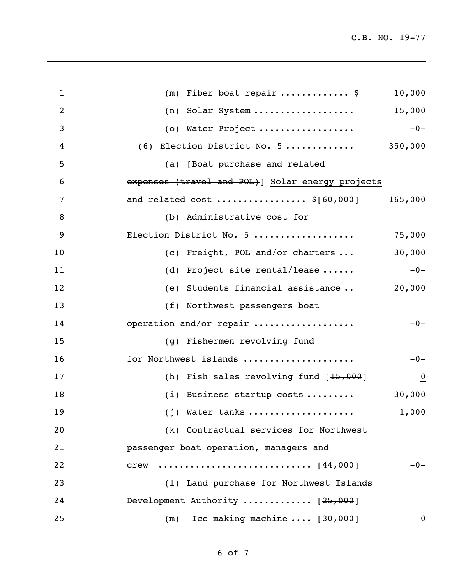| $\mathbf{1}$   | $(m)$ Fiber boat repair \$                        | 10,000         |
|----------------|---------------------------------------------------|----------------|
| $\overline{2}$ | $(n)$ Solar System                                | 15,000         |
| 3              | (o) Water Project                                 | $-0-$          |
| 4              | $(6)$ Election District No. 5 350,000             |                |
| 5              | (a) [Boat purchase and related                    |                |
| 6              | expenses (travel and POL) ] Solar energy projects |                |
| 7              | and related cost  \$[ <del>60,000</del> ]         | 165,000        |
| 8              | (b) Administrative cost for                       |                |
| 9              | Election District No. 5                           | 75,000         |
| 10             | (c) Freight, POL and/or charters                  | 30,000         |
| 11             | (d) Project site rental/lease                     | $-0-$          |
| 12             | (e) Students financial assistance                 | 20,000         |
| 13             | (f) Northwest passengers boat                     |                |
| 14             | operation and/or repair                           | $-0-$          |
| 15             | (g) Fishermen revolving fund                      |                |
| 16             | for Northwest islands                             | $-0-$          |
| 17             | (h) Fish sales revolving fund $[15,000]$          | Q              |
| 18             | (i) Business startup costs                        | 30,000         |
| 19             | $(j)$ Water tanks                                 | 1,000          |
| 20             | (k) Contractual services for Northwest            |                |
| 21             | passenger boat operation, managers and            |                |
| 22             | [44,000]<br>crew                                  | $-0-$          |
| 23             | (1) Land purchase for Northwest Islands           |                |
| 24             | Development Authority $[25,000]$                  |                |
| 25             | Ice making machine $[30,000]$<br>(m)              | $\overline{0}$ |